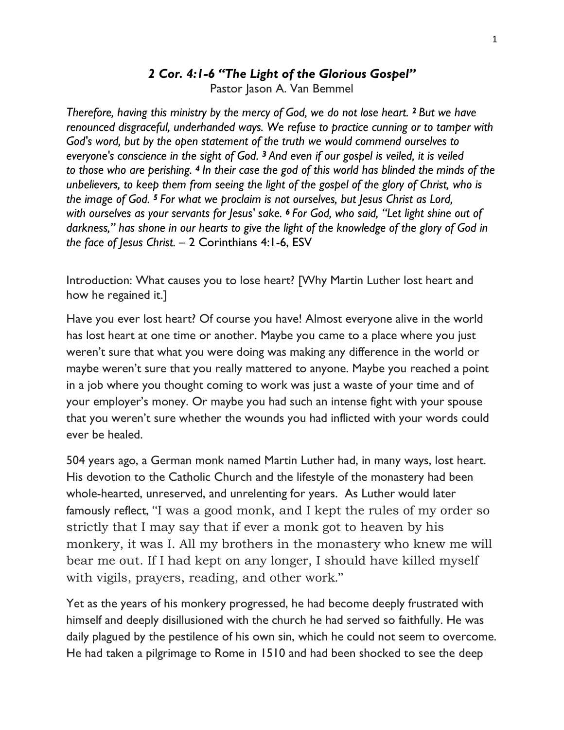#### *2 Cor. 4:1-6 "The Light of the Glorious Gospel"*

Pastor Jason A. Van Bemmel

*Therefore, having this ministry by the mercy of God, we do not lose heart. <sup>2</sup> But we have renounced disgraceful, underhanded ways. We refuse to practice cunning or to tamper with God's word, but by the open statement of the truth we would commend ourselves to everyone's conscience in the sight of God. <sup>3</sup> And even if our gospel is veiled, it is veiled to those who are perishing. <sup>4</sup> In their case the god of this world has blinded the minds of the unbelievers, to keep them from seeing the light of the gospel of the glory of Christ, who is the image of God. <sup>5</sup> For what we proclaim is not ourselves, but Jesus Christ as Lord, with ourselves as your servants for Jesus' sake. <sup>6</sup> For God, who said, "Let light shine out of darkness," has shone in our hearts to give the light of the knowledge of the glory of God in the face of Jesus Christ.* – 2 Corinthians 4:1-6, ESV

Introduction: What causes you to lose heart? [Why Martin Luther lost heart and how he regained it.]

Have you ever lost heart? Of course you have! Almost everyone alive in the world has lost heart at one time or another. Maybe you came to a place where you just weren't sure that what you were doing was making any difference in the world or maybe weren't sure that you really mattered to anyone. Maybe you reached a point in a job where you thought coming to work was just a waste of your time and of your employer's money. Or maybe you had such an intense fight with your spouse that you weren't sure whether the wounds you had inflicted with your words could ever be healed.

504 years ago, a German monk named Martin Luther had, in many ways, lost heart. His devotion to the Catholic Church and the lifestyle of the monastery had been whole-hearted, unreserved, and unrelenting for years. As Luther would later famously reflect, "I was a good monk, and I kept the rules of my order so strictly that I may say that if ever a monk got to heaven by his monkery, it was I. All my brothers in the monastery who knew me will bear me out. If I had kept on any longer, I should have killed myself with vigils, prayers, reading, and other work."

Yet as the years of his monkery progressed, he had become deeply frustrated with himself and deeply disillusioned with the church he had served so faithfully. He was daily plagued by the pestilence of his own sin, which he could not seem to overcome. He had taken a pilgrimage to Rome in 1510 and had been shocked to see the deep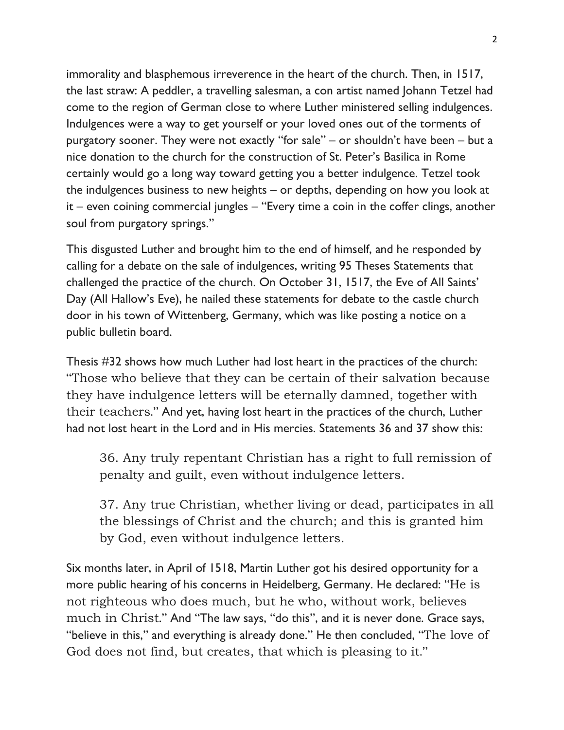immorality and blasphemous irreverence in the heart of the church. Then, in 1517, the last straw: A peddler, a travelling salesman, a con artist named Johann Tetzel had come to the region of German close to where Luther ministered selling indulgences. Indulgences were a way to get yourself or your loved ones out of the torments of purgatory sooner. They were not exactly "for sale" – or shouldn't have been – but a nice donation to the church for the construction of St. Peter's Basilica in Rome certainly would go a long way toward getting you a better indulgence. Tetzel took the indulgences business to new heights – or depths, depending on how you look at it – even coining commercial jungles – "Every time a coin in the coffer clings, another soul from purgatory springs."

This disgusted Luther and brought him to the end of himself, and he responded by calling for a debate on the sale of indulgences, writing 95 Theses Statements that challenged the practice of the church. On October 31, 1517, the Eve of All Saints' Day (All Hallow's Eve), he nailed these statements for debate to the castle church door in his town of Wittenberg, Germany, which was like posting a notice on a public bulletin board.

Thesis #32 shows how much Luther had lost heart in the practices of the church: "Those who believe that they can be certain of their salvation because they have indulgence letters will be eternally damned, together with their teachers." And yet, having lost heart in the practices of the church, Luther had not lost heart in the Lord and in His mercies. Statements 36 and 37 show this:

36. Any truly repentant Christian has a right to full remission of penalty and guilt, even without indulgence letters.

37. Any true Christian, whether living or dead, participates in all the blessings of Christ and the church; and this is granted him by God, even without indulgence letters.

Six months later, in April of 1518, Martin Luther got his desired opportunity for a more public hearing of his concerns in Heidelberg, Germany. He declared: "He is not righteous who does much, but he who, without work, believes much in Christ." And "The law says, "do this", and it is never done. Grace says, "believe in this," and everything is already done." He then concluded, "The love of God does not find, but creates, that which is pleasing to it."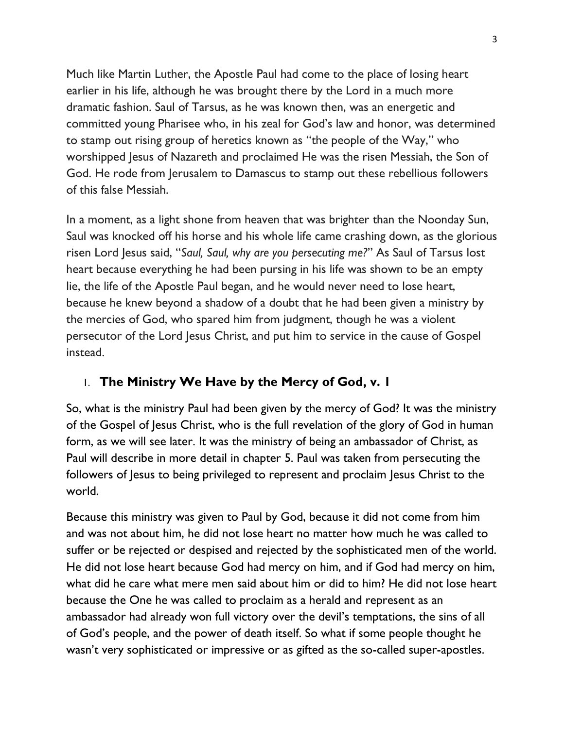Much like Martin Luther, the Apostle Paul had come to the place of losing heart earlier in his life, although he was brought there by the Lord in a much more dramatic fashion. Saul of Tarsus, as he was known then, was an energetic and committed young Pharisee who, in his zeal for God's law and honor, was determined to stamp out rising group of heretics known as "the people of the Way," who worshipped Jesus of Nazareth and proclaimed He was the risen Messiah, the Son of God. He rode from Jerusalem to Damascus to stamp out these rebellious followers of this false Messiah.

In a moment, as a light shone from heaven that was brighter than the Noonday Sun, Saul was knocked off his horse and his whole life came crashing down, as the glorious risen Lord Jesus said, "*Saul, Saul, why are you persecuting me?*" As Saul of Tarsus lost heart because everything he had been pursing in his life was shown to be an empty lie, the life of the Apostle Paul began, and he would never need to lose heart, because he knew beyond a shadow of a doubt that he had been given a ministry by the mercies of God, who spared him from judgment, though he was a violent persecutor of the Lord Jesus Christ, and put him to service in the cause of Gospel instead.

# 1. **The Ministry We Have by the Mercy of God, v. 1**

So, what is the ministry Paul had been given by the mercy of God? It was the ministry of the Gospel of Jesus Christ, who is the full revelation of the glory of God in human form, as we will see later. It was the ministry of being an ambassador of Christ, as Paul will describe in more detail in chapter 5. Paul was taken from persecuting the followers of Jesus to being privileged to represent and proclaim Jesus Christ to the world.

Because this ministry was given to Paul by God, because it did not come from him and was not about him, he did not lose heart no matter how much he was called to suffer or be rejected or despised and rejected by the sophisticated men of the world. He did not lose heart because God had mercy on him, and if God had mercy on him, what did he care what mere men said about him or did to him? He did not lose heart because the One he was called to proclaim as a herald and represent as an ambassador had already won full victory over the devil's temptations, the sins of all of God's people, and the power of death itself. So what if some people thought he wasn't very sophisticated or impressive or as gifted as the so-called super-apostles.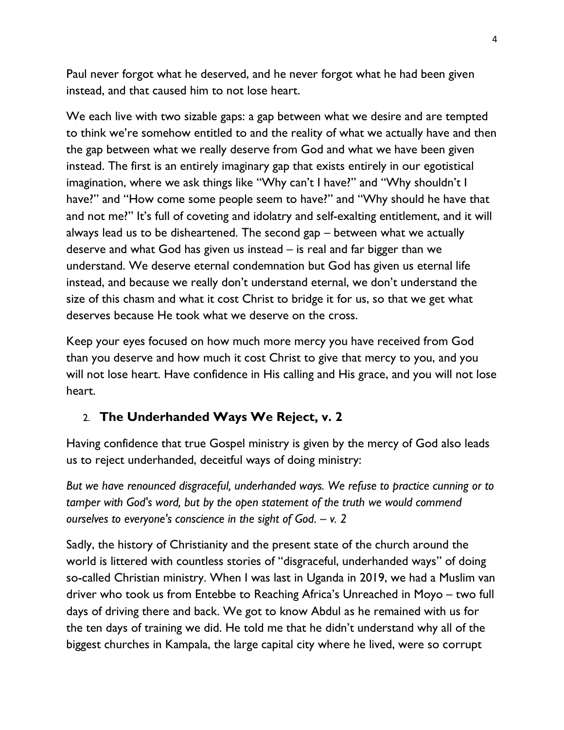Paul never forgot what he deserved, and he never forgot what he had been given instead, and that caused him to not lose heart.

We each live with two sizable gaps: a gap between what we desire and are tempted to think we're somehow entitled to and the reality of what we actually have and then the gap between what we really deserve from God and what we have been given instead. The first is an entirely imaginary gap that exists entirely in our egotistical imagination, where we ask things like "Why can't I have?" and "Why shouldn't I have?" and "How come some people seem to have?" and "Why should he have that and not me?" It's full of coveting and idolatry and self-exalting entitlement, and it will always lead us to be disheartened. The second gap – between what we actually deserve and what God has given us instead – is real and far bigger than we understand. We deserve eternal condemnation but God has given us eternal life instead, and because we really don't understand eternal, we don't understand the size of this chasm and what it cost Christ to bridge it for us, so that we get what deserves because He took what we deserve on the cross.

Keep your eyes focused on how much more mercy you have received from God than you deserve and how much it cost Christ to give that mercy to you, and you will not lose heart. Have confidence in His calling and His grace, and you will not lose heart.

# 2. **The Underhanded Ways We Reject, v. 2**

Having confidence that true Gospel ministry is given by the mercy of God also leads us to reject underhanded, deceitful ways of doing ministry:

*But we have renounced disgraceful, underhanded ways. We refuse to practice cunning or to tamper with God's word, but by the open statement of the truth we would commend ourselves to everyone's conscience in the sight of God. – v. 2*

Sadly, the history of Christianity and the present state of the church around the world is littered with countless stories of "disgraceful, underhanded ways" of doing so-called Christian ministry. When I was last in Uganda in 2019, we had a Muslim van driver who took us from Entebbe to Reaching Africa's Unreached in Moyo – two full days of driving there and back. We got to know Abdul as he remained with us for the ten days of training we did. He told me that he didn't understand why all of the biggest churches in Kampala, the large capital city where he lived, were so corrupt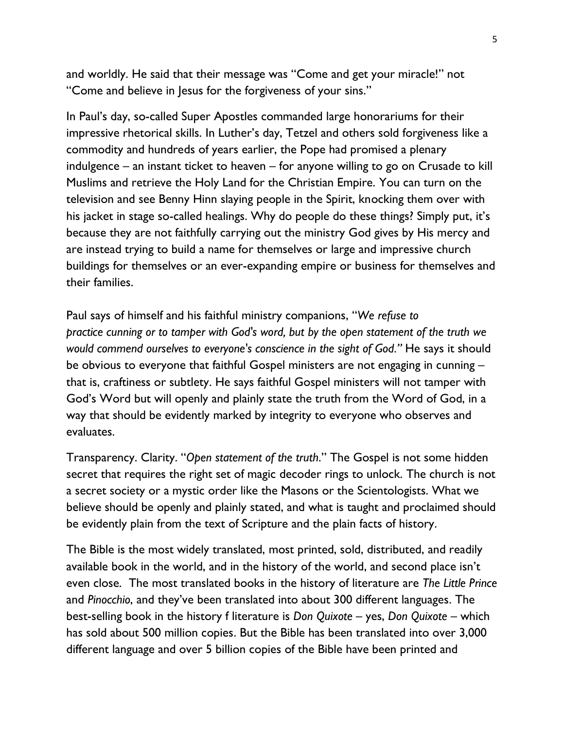and worldly. He said that their message was "Come and get your miracle!" not "Come and believe in Jesus for the forgiveness of your sins."

In Paul's day, so-called Super Apostles commanded large honorariums for their impressive rhetorical skills. In Luther's day, Tetzel and others sold forgiveness like a commodity and hundreds of years earlier, the Pope had promised a plenary indulgence – an instant ticket to heaven – for anyone willing to go on Crusade to kill Muslims and retrieve the Holy Land for the Christian Empire. You can turn on the television and see Benny Hinn slaying people in the Spirit, knocking them over with his jacket in stage so-called healings. Why do people do these things? Simply put, it's because they are not faithfully carrying out the ministry God gives by His mercy and are instead trying to build a name for themselves or large and impressive church buildings for themselves or an ever-expanding empire or business for themselves and their families.

Paul says of himself and his faithful ministry companions, "*We refuse to practice cunning or to tamper with God's word, but by the open statement of the truth we would commend ourselves to everyone's conscience in the sight of God."* He says it should be obvious to everyone that faithful Gospel ministers are not engaging in cunning – that is, craftiness or subtlety. He says faithful Gospel ministers will not tamper with God's Word but will openly and plainly state the truth from the Word of God, in a way that should be evidently marked by integrity to everyone who observes and evaluates.

Transparency. Clarity. "*Open statement of the truth*." The Gospel is not some hidden secret that requires the right set of magic decoder rings to unlock. The church is not a secret society or a mystic order like the Masons or the Scientologists. What we believe should be openly and plainly stated, and what is taught and proclaimed should be evidently plain from the text of Scripture and the plain facts of history.

The Bible is the most widely translated, most printed, sold, distributed, and readily available book in the world, and in the history of the world, and second place isn't even close. The most translated books in the history of literature are *The Little Prince* and *Pinocchio*, and they've been translated into about 300 different languages. The best-selling book in the history f literature is *Don Quixote* – yes, *Don Quixote* – which has sold about 500 million copies. But the Bible has been translated into over 3,000 different language and over 5 billion copies of the Bible have been printed and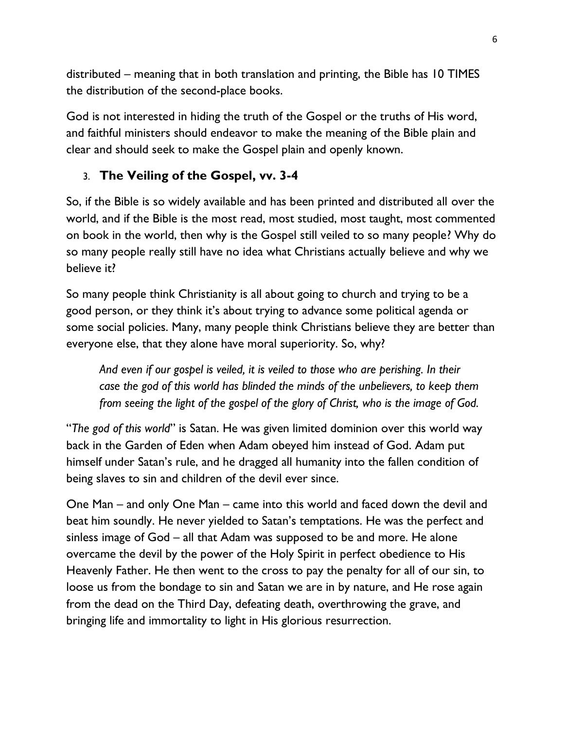distributed – meaning that in both translation and printing, the Bible has 10 TIMES the distribution of the second-place books.

God is not interested in hiding the truth of the Gospel or the truths of His word, and faithful ministers should endeavor to make the meaning of the Bible plain and clear and should seek to make the Gospel plain and openly known.

# 3. **The Veiling of the Gospel, vv. 3-4**

So, if the Bible is so widely available and has been printed and distributed all over the world, and if the Bible is the most read, most studied, most taught, most commented on book in the world, then why is the Gospel still veiled to so many people? Why do so many people really still have no idea what Christians actually believe and why we believe it?

So many people think Christianity is all about going to church and trying to be a good person, or they think it's about trying to advance some political agenda or some social policies. Many, many people think Christians believe they are better than everyone else, that they alone have moral superiority. So, why?

*And even if our gospel is veiled, it is veiled to those who are perishing. In their case the god of this world has blinded the minds of the unbelievers, to keep them from seeing the light of the gospel of the glory of Christ, who is the image of God.*

"*The god of this world*" is Satan. He was given limited dominion over this world way back in the Garden of Eden when Adam obeyed him instead of God. Adam put himself under Satan's rule, and he dragged all humanity into the fallen condition of being slaves to sin and children of the devil ever since.

One Man – and only One Man – came into this world and faced down the devil and beat him soundly. He never yielded to Satan's temptations. He was the perfect and sinless image of God – all that Adam was supposed to be and more. He alone overcame the devil by the power of the Holy Spirit in perfect obedience to His Heavenly Father. He then went to the cross to pay the penalty for all of our sin, to loose us from the bondage to sin and Satan we are in by nature, and He rose again from the dead on the Third Day, defeating death, overthrowing the grave, and bringing life and immortality to light in His glorious resurrection.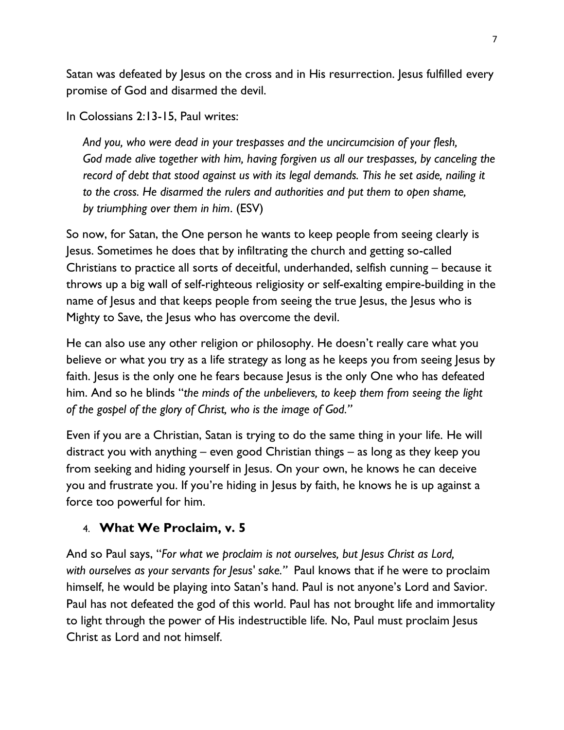Satan was defeated by Jesus on the cross and in His resurrection. Jesus fulfilled every promise of God and disarmed the devil.

In Colossians 2:13-15, Paul writes:

*And you, who were dead in your trespasses and the uncircumcision of your flesh, God made alive together with him, having forgiven us all our trespasses, by canceling the record of debt that stood against us with its legal demands. This he set aside, nailing it to the cross. He disarmed the rulers and authorities and put them to open shame, by triumphing over them in him*. (ESV)

So now, for Satan, the One person he wants to keep people from seeing clearly is Jesus. Sometimes he does that by infiltrating the church and getting so-called Christians to practice all sorts of deceitful, underhanded, selfish cunning – because it throws up a big wall of self-righteous religiosity or self-exalting empire-building in the name of Jesus and that keeps people from seeing the true Jesus, the Jesus who is Mighty to Save, the Jesus who has overcome the devil.

He can also use any other religion or philosophy. He doesn't really care what you believe or what you try as a life strategy as long as he keeps you from seeing lesus by faith. Jesus is the only one he fears because Jesus is the only One who has defeated him. And so he blinds "*the minds of the unbelievers, to keep them from seeing the light of the gospel of the glory of Christ, who is the image of God."*

Even if you are a Christian, Satan is trying to do the same thing in your life. He will distract you with anything – even good Christian things – as long as they keep you from seeking and hiding yourself in Jesus. On your own, he knows he can deceive you and frustrate you. If you're hiding in Jesus by faith, he knows he is up against a force too powerful for him.

### 4. **What We Proclaim, v. 5**

And so Paul says, "*For what we proclaim is not ourselves, but Jesus Christ as Lord, with ourselves as your servants for Jesus' sake."* Paul knows that if he were to proclaim himself, he would be playing into Satan's hand. Paul is not anyone's Lord and Savior. Paul has not defeated the god of this world. Paul has not brought life and immortality to light through the power of His indestructible life. No, Paul must proclaim Jesus Christ as Lord and not himself.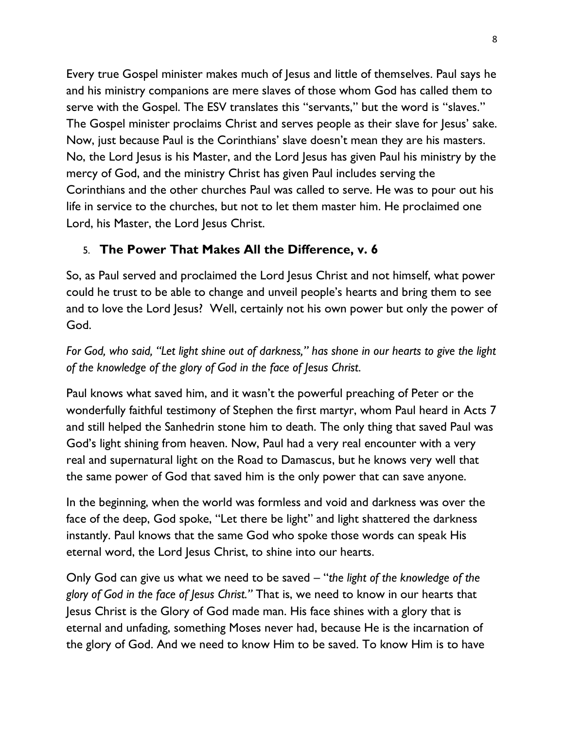Every true Gospel minister makes much of Jesus and little of themselves. Paul says he and his ministry companions are mere slaves of those whom God has called them to serve with the Gospel. The ESV translates this "servants," but the word is "slaves." The Gospel minister proclaims Christ and serves people as their slave for Jesus' sake. Now, just because Paul is the Corinthians' slave doesn't mean they are his masters. No, the Lord Jesus is his Master, and the Lord Jesus has given Paul his ministry by the mercy of God, and the ministry Christ has given Paul includes serving the Corinthians and the other churches Paul was called to serve. He was to pour out his life in service to the churches, but not to let them master him. He proclaimed one Lord, his Master, the Lord Jesus Christ.

# 5. **The Power That Makes All the Difference, v. 6**

So, as Paul served and proclaimed the Lord Jesus Christ and not himself, what power could he trust to be able to change and unveil people's hearts and bring them to see and to love the Lord Jesus? Well, certainly not his own power but only the power of God.

*For God, who said, "Let light shine out of darkness," has shone in our hearts to give the light of the knowledge of the glory of God in the face of Jesus Christ.*

Paul knows what saved him, and it wasn't the powerful preaching of Peter or the wonderfully faithful testimony of Stephen the first martyr, whom Paul heard in Acts 7 and still helped the Sanhedrin stone him to death. The only thing that saved Paul was God's light shining from heaven. Now, Paul had a very real encounter with a very real and supernatural light on the Road to Damascus, but he knows very well that the same power of God that saved him is the only power that can save anyone.

In the beginning, when the world was formless and void and darkness was over the face of the deep, God spoke, "Let there be light" and light shattered the darkness instantly. Paul knows that the same God who spoke those words can speak His eternal word, the Lord Jesus Christ, to shine into our hearts.

Only God can give us what we need to be saved – "*the light of the knowledge of the glory of God in the face of Jesus Christ."* That is, we need to know in our hearts that Jesus Christ is the Glory of God made man. His face shines with a glory that is eternal and unfading, something Moses never had, because He is the incarnation of the glory of God. And we need to know Him to be saved. To know Him is to have